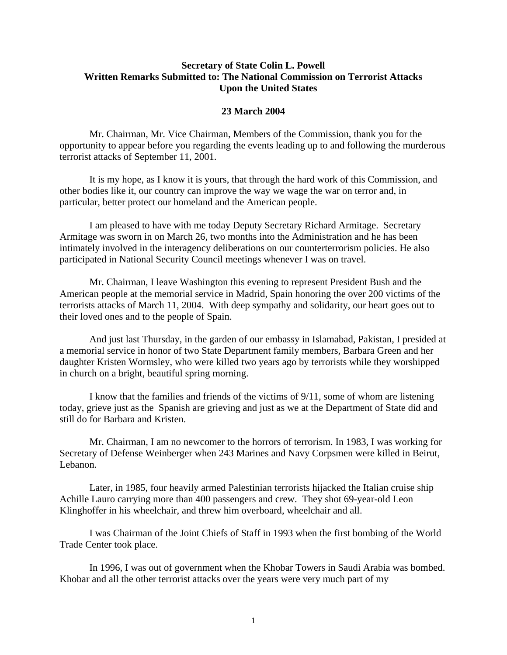## **Secretary of State Colin L. Powell Written Remarks Submitted to: The National Commission on Terrorist Attacks Upon the United States**

## **23 March 2004**

Mr. Chairman, Mr. Vice Chairman, Members of the Commission, thank you for the opportunity to appear before you regarding the events leading up to and following the murderous terrorist attacks of September 11, 2001.

 It is my hope, as I know it is yours, that through the hard work of this Commission, and other bodies like it, our country can improve the way we wage the war on terror and, in particular, better protect our homeland and the American people.

I am pleased to have with me today Deputy Secretary Richard Armitage. Secretary Armitage was sworn in on March 26, two months into the Administration and he has been intimately involved in the interagency deliberations on our counterterrorism policies. He also participated in National Security Council meetings whenever I was on travel.

Mr. Chairman, I leave Washington this evening to represent President Bush and the American people at the memorial service in Madrid, Spain honoring the over 200 victims of the terrorists attacks of March 11, 2004. With deep sympathy and solidarity, our heart goes out to their loved ones and to the people of Spain.

And just last Thursday, in the garden of our embassy in Islamabad, Pakistan, I presided at a memorial service in honor of two State Department family members, Barbara Green and her daughter Kristen Wormsley, who were killed two years ago by terrorists while they worshipped in church on a bright, beautiful spring morning.

I know that the families and friends of the victims of 9/11, some of whom are listening today, grieve just as the Spanish are grieving and just as we at the Department of State did and still do for Barbara and Kristen.

Mr. Chairman, I am no newcomer to the horrors of terrorism. In 1983, I was working for Secretary of Defense Weinberger when 243 Marines and Navy Corpsmen were killed in Beirut, Lebanon.

Later, in 1985, four heavily armed Palestinian terrorists hijacked the Italian cruise ship Achille Lauro carrying more than 400 passengers and crew. They shot 69-year-old Leon Klinghoffer in his wheelchair, and threw him overboard, wheelchair and all.

I was Chairman of the Joint Chiefs of Staff in 1993 when the first bombing of the World Trade Center took place.

In 1996, I was out of government when the Khobar Towers in Saudi Arabia was bombed. Khobar and all the other terrorist attacks over the years were very much part of my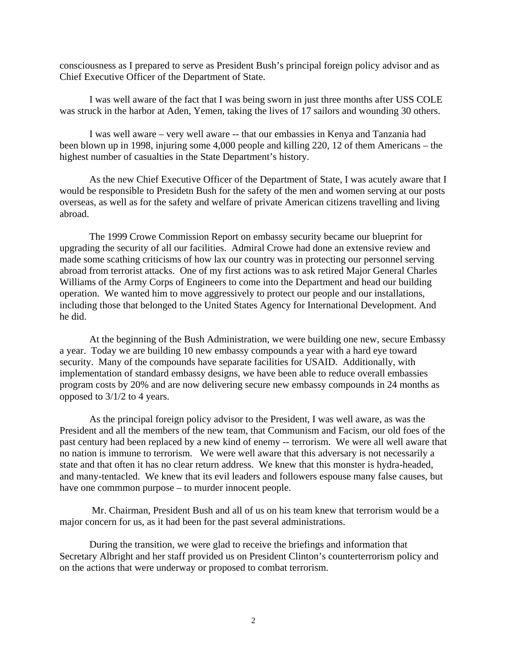consciousness as I prepared to serve as President Bush's principal foreign policy advisor and as Chief Executive Officer of the Department of State.

I was well aware of the fact that I was being sworn in just three months after USS COLE was struck in the harbor at Aden, Yemen, taking the lives of 17 sailors and wounding 30 others.

I was well aware – very well aware -- that our embassies in Kenya and Tanzania had been blown up in 1998, injuring some 4,000 people and killing 220, 12 of them Americans – the highest number of casualties in the State Department's history.

As the new Chief Executive Officer of the Department of State, I was acutely aware that I would be responsible to Presidetn Bush for the safety of the men and women serving at our posts overseas, as well as for the safety and welfare of private American citizens travelling and living abroad.

The 1999 Crowe Commission Report on embassy security became our blueprint for upgrading the security of all our facilities. Admiral Crowe had done an extensive review and made some scathing criticisms of how lax our country was in protecting our personnel serving abroad from terrorist attacks. One of my first actions was to ask retired Major General Charles Williams of the Army Corps of Engineers to come into the Department and head our building operation. We wanted him to move aggressively to protect our people and our installations, including those that belonged to the United States Agency for International Development. And he did.

At the beginning of the Bush Administration, we were building one new, secure Embassy a year. Today we are building 10 new embassy compounds a year with a hard eye toward security. Many of the compounds have separate facilities for USAID. Additionally, with implementation of standard embassy designs, we have been able to reduce overall embassies program costs by 20% and are now delivering secure new embassy compounds in 24 months as opposed to 3/1/2 to 4 years.

As the principal foreign policy advisor to the President, I was well aware, as was the President and all the members of the new team, that Communism and Facism, our old foes of the past century had been replaced by a new kind of enemy -- terrorism. We were all well aware that no nation is immune to terrorism. We were well aware that this adversary is not necessarily a state and that often it has no clear return address. We knew that this monster is hydra-headed, and many-tentacled. We knew that its evil leaders and followers espouse many false causes, but have one commmon purpose – to murder innocent people.

 Mr. Chairman, President Bush and all of us on his team knew that terrorism would be a major concern for us, as it had been for the past several administrations.

During the transition, we were glad to receive the briefings and information that Secretary Albright and her staff provided us on President Clinton's counterterrorism policy and on the actions that were underway or proposed to combat terrorism.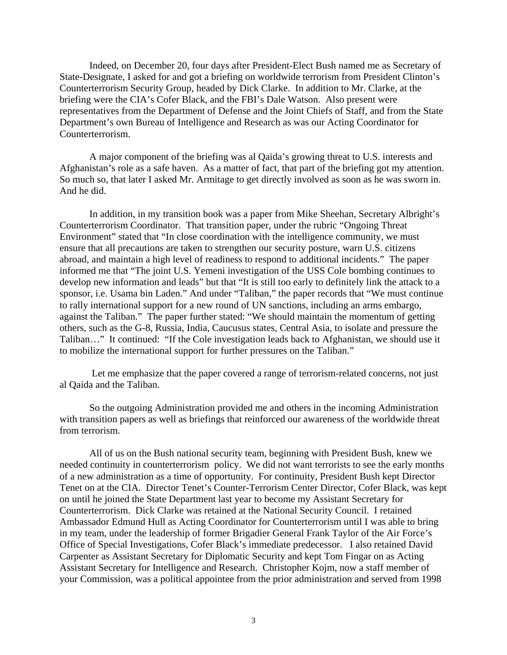Indeed, on December 20, four days after President-Elect Bush named me as Secretary of State-Designate, I asked for and got a briefing on worldwide terrorism from President Clinton's Counterterrorism Security Group, headed by Dick Clarke. In addition to Mr. Clarke, at the briefing were the CIA's Cofer Black, and the FBI's Dale Watson. Also present were representatives from the Department of Defense and the Joint Chiefs of Staff, and from the State Department's own Bureau of Intelligence and Research as was our Acting Coordinator for Counterterrorism.

A major component of the briefing was al Qaida's growing threat to U.S. interests and Afghanistan's role as a safe haven. As a matter of fact, that part of the briefing got my attention. So much so, that later I asked Mr. Armitage to get directly involved as soon as he was sworn in. And he did.

In addition, in my transition book was a paper from Mike Sheehan, Secretary Albright's Counterterrorism Coordinator. That transition paper, under the rubric "Ongoing Threat Environment" stated that "In close coordination with the intelligence community, we must ensure that all precautions are taken to strengthen our security posture, warn U.S. citizens abroad, and maintain a high level of readiness to respond to additional incidents." The paper informed me that "The joint U.S. Yemeni investigation of the USS Cole bombing continues to develop new information and leads" but that "It is still too early to definitely link the attack to a sponsor, i.e. Usama bin Laden." And under "Taliban," the paper records that "We must continue to rally international support for a new round of UN sanctions, including an arms embargo, against the Taliban." The paper further stated: "We should maintain the momentum of getting others, such as the G-8, Russia, India, Caucusus states, Central Asia, to isolate and pressure the Taliban…" It continued: "If the Cole investigation leads back to Afghanistan, we should use it to mobilize the international support for further pressures on the Taliban."

 Let me emphasize that the paper covered a range of terrorism-related concerns, not just al Qaida and the Taliban.

So the outgoing Administration provided me and others in the incoming Administration with transition papers as well as briefings that reinforced our awareness of the worldwide threat from terrorism.

All of us on the Bush national security team, beginning with President Bush, knew we needed continuity in counterterrorism policy. We did not want terrorists to see the early months of a new administration as a time of opportunity. For continuity, President Bush kept Director Tenet on at the CIA. Director Tenet's Counter-Terrorism Center Director, Cofer Black, was kept on until he joined the State Department last year to become my Assistant Secretary for Counterterrorism. Dick Clarke was retained at the National Security Council. I retained Ambassador Edmund Hull as Acting Coordinator for Counterterrorism until I was able to bring in my team, under the leadership of former Brigadier General Frank Taylor of the Air Force's Office of Special Investigations, Cofer Black's immediate predecessor. I also retained David Carpenter as Assistant Secretary for Diplomatic Security and kept Tom Fingar on as Acting Assistant Secretary for Intelligence and Research. Christopher Kojm, now a staff member of your Commission, was a political appointee from the prior administration and served from 1998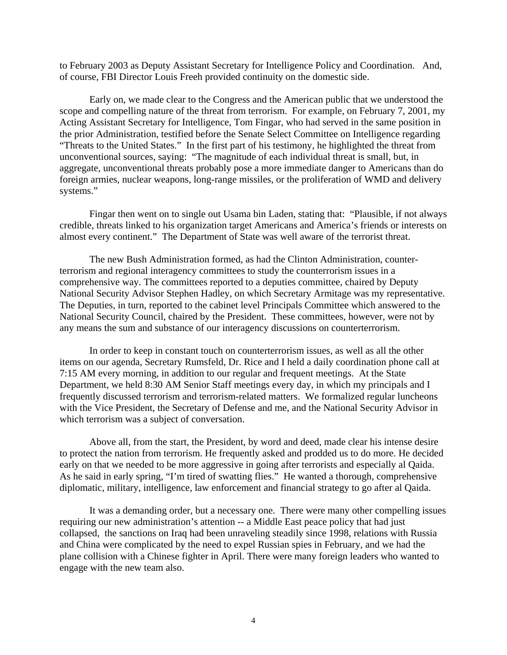to February 2003 as Deputy Assistant Secretary for Intelligence Policy and Coordination. And, of course, FBI Director Louis Freeh provided continuity on the domestic side.

Early on, we made clear to the Congress and the American public that we understood the scope and compelling nature of the threat from terrorism. For example, on February 7, 2001, my Acting Assistant Secretary for Intelligence, Tom Fingar, who had served in the same position in the prior Administration, testified before the Senate Select Committee on Intelligence regarding "Threats to the United States." In the first part of his testimony, he highlighted the threat from unconventional sources, saying: "The magnitude of each individual threat is small, but, in aggregate, unconventional threats probably pose a more immediate danger to Americans than do foreign armies, nuclear weapons, long-range missiles, or the proliferation of WMD and delivery systems."

Fingar then went on to single out Usama bin Laden, stating that: "Plausible, if not always credible, threats linked to his organization target Americans and America's friends or interests on almost every continent." The Department of State was well aware of the terrorist threat.

The new Bush Administration formed, as had the Clinton Administration, counterterrorism and regional interagency committees to study the counterrorism issues in a comprehensive way. The committees reported to a deputies committee, chaired by Deputy National Security Advisor Stephen Hadley, on which Secretary Armitage was my representative. The Deputies, in turn, reported to the cabinet level Principals Committee which answered to the National Security Council, chaired by the President. These committees, however, were not by any means the sum and substance of our interagency discussions on counterterrorism.

In order to keep in constant touch on counterterrorism issues, as well as all the other items on our agenda, Secretary Rumsfeld, Dr. Rice and I held a daily coordination phone call at 7:15 AM every morning, in addition to our regular and frequent meetings. At the State Department, we held 8:30 AM Senior Staff meetings every day, in which my principals and I frequently discussed terrorism and terrorism-related matters. We formalized regular luncheons with the Vice President, the Secretary of Defense and me, and the National Security Advisor in which terrorism was a subject of conversation.

Above all, from the start, the President, by word and deed, made clear his intense desire to protect the nation from terrorism. He frequently asked and prodded us to do more. He decided early on that we needed to be more aggressive in going after terrorists and especially al Qaida. As he said in early spring, "I'm tired of swatting flies." He wanted a thorough, comprehensive diplomatic, military, intelligence, law enforcement and financial strategy to go after al Qaida.

It was a demanding order, but a necessary one. There were many other compelling issues requiring our new administration's attention -- a Middle East peace policy that had just collapsed, the sanctions on Iraq had been unraveling steadily since 1998, relations with Russia and China were complicated by the need to expel Russian spies in February, and we had the plane collision with a Chinese fighter in April. There were many foreign leaders who wanted to engage with the new team also.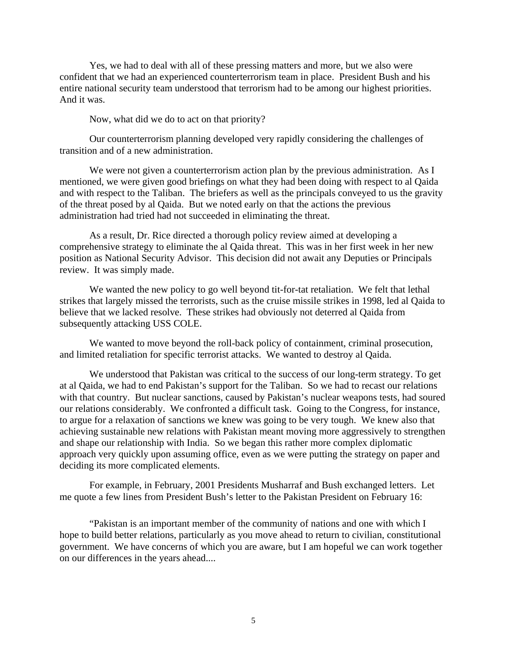Yes, we had to deal with all of these pressing matters and more, but we also were confident that we had an experienced counterterrorism team in place. President Bush and his entire national security team understood that terrorism had to be among our highest priorities. And it was.

Now, what did we do to act on that priority?

Our counterterrorism planning developed very rapidly considering the challenges of transition and of a new administration.

We were not given a counterterrorism action plan by the previous administration. As I mentioned, we were given good briefings on what they had been doing with respect to al Qaida and with respect to the Taliban. The briefers as well as the principals conveyed to us the gravity of the threat posed by al Qaida. But we noted early on that the actions the previous administration had tried had not succeeded in eliminating the threat.

As a result, Dr. Rice directed a thorough policy review aimed at developing a comprehensive strategy to eliminate the al Qaida threat. This was in her first week in her new position as National Security Advisor. This decision did not await any Deputies or Principals review. It was simply made.

We wanted the new policy to go well beyond tit-for-tat retaliation. We felt that lethal strikes that largely missed the terrorists, such as the cruise missile strikes in 1998, led al Qaida to believe that we lacked resolve. These strikes had obviously not deterred al Qaida from subsequently attacking USS COLE.

We wanted to move beyond the roll-back policy of containment, criminal prosecution, and limited retaliation for specific terrorist attacks. We wanted to destroy al Qaida.

We understood that Pakistan was critical to the success of our long-term strategy. To get at al Qaida, we had to end Pakistan's support for the Taliban. So we had to recast our relations with that country. But nuclear sanctions, caused by Pakistan's nuclear weapons tests, had soured our relations considerably. We confronted a difficult task. Going to the Congress, for instance, to argue for a relaxation of sanctions we knew was going to be very tough. We knew also that achieving sustainable new relations with Pakistan meant moving more aggressively to strengthen and shape our relationship with India. So we began this rather more complex diplomatic approach very quickly upon assuming office, even as we were putting the strategy on paper and deciding its more complicated elements.

For example, in February, 2001 Presidents Musharraf and Bush exchanged letters. Let me quote a few lines from President Bush's letter to the Pakistan President on February 16:

"Pakistan is an important member of the community of nations and one with which I hope to build better relations, particularly as you move ahead to return to civilian, constitutional government. We have concerns of which you are aware, but I am hopeful we can work together on our differences in the years ahead....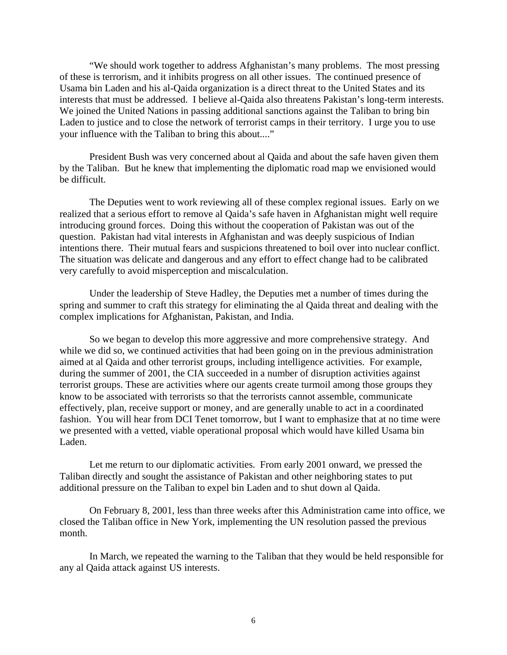"We should work together to address Afghanistan's many problems. The most pressing of these is terrorism, and it inhibits progress on all other issues. The continued presence of Usama bin Laden and his al-Qaida organization is a direct threat to the United States and its interests that must be addressed. I believe al-Qaida also threatens Pakistan's long-term interests. We joined the United Nations in passing additional sanctions against the Taliban to bring bin Laden to justice and to close the network of terrorist camps in their territory. I urge you to use your influence with the Taliban to bring this about...."

President Bush was very concerned about al Qaida and about the safe haven given them by the Taliban. But he knew that implementing the diplomatic road map we envisioned would be difficult.

The Deputies went to work reviewing all of these complex regional issues. Early on we realized that a serious effort to remove al Qaida's safe haven in Afghanistan might well require introducing ground forces. Doing this without the cooperation of Pakistan was out of the question. Pakistan had vital interests in Afghanistan and was deeply suspicious of Indian intentions there. Their mutual fears and suspicions threatened to boil over into nuclear conflict. The situation was delicate and dangerous and any effort to effect change had to be calibrated very carefully to avoid misperception and miscalculation.

Under the leadership of Steve Hadley, the Deputies met a number of times during the spring and summer to craft this strategy for eliminating the al Qaida threat and dealing with the complex implications for Afghanistan, Pakistan, and India.

So we began to develop this more aggressive and more comprehensive strategy. And while we did so, we continued activities that had been going on in the previous administration aimed at al Qaida and other terrorist groups, including intelligence activities. For example, during the summer of 2001, the CIA succeeded in a number of disruption activities against terrorist groups. These are activities where our agents create turmoil among those groups they know to be associated with terrorists so that the terrorists cannot assemble, communicate effectively, plan, receive support or money, and are generally unable to act in a coordinated fashion. You will hear from DCI Tenet tomorrow, but I want to emphasize that at no time were we presented with a vetted, viable operational proposal which would have killed Usama bin Laden.

Let me return to our diplomatic activities. From early 2001 onward, we pressed the Taliban directly and sought the assistance of Pakistan and other neighboring states to put additional pressure on the Taliban to expel bin Laden and to shut down al Qaida.

On February 8, 2001, less than three weeks after this Administration came into office, we closed the Taliban office in New York, implementing the UN resolution passed the previous month.

In March, we repeated the warning to the Taliban that they would be held responsible for any al Qaida attack against US interests.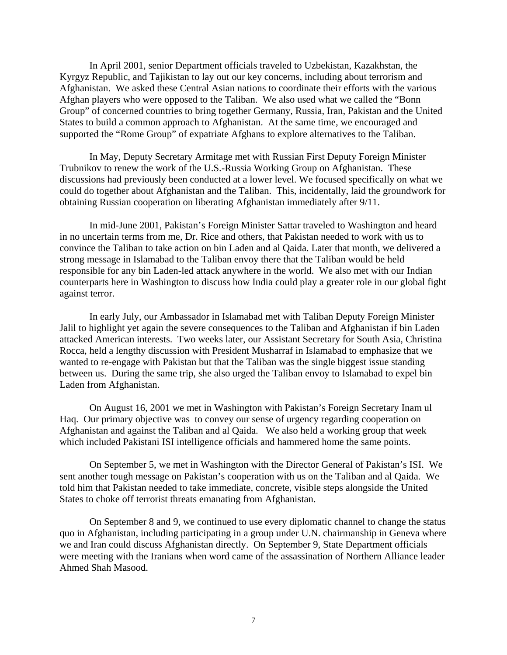In April 2001, senior Department officials traveled to Uzbekistan, Kazakhstan, the Kyrgyz Republic, and Tajikistan to lay out our key concerns, including about terrorism and Afghanistan. We asked these Central Asian nations to coordinate their efforts with the various Afghan players who were opposed to the Taliban. We also used what we called the "Bonn Group" of concerned countries to bring together Germany, Russia, Iran, Pakistan and the United States to build a common approach to Afghanistan. At the same time, we encouraged and supported the "Rome Group" of expatriate Afghans to explore alternatives to the Taliban.

In May, Deputy Secretary Armitage met with Russian First Deputy Foreign Minister Trubnikov to renew the work of the U.S.-Russia Working Group on Afghanistan. These discussions had previously been conducted at a lower level. We focused specifically on what we could do together about Afghanistan and the Taliban. This, incidentally, laid the groundwork for obtaining Russian cooperation on liberating Afghanistan immediately after 9/11.

In mid-June 2001, Pakistan's Foreign Minister Sattar traveled to Washington and heard in no uncertain terms from me, Dr. Rice and others, that Pakistan needed to work with us to convince the Taliban to take action on bin Laden and al Qaida. Later that month, we delivered a strong message in Islamabad to the Taliban envoy there that the Taliban would be held responsible for any bin Laden-led attack anywhere in the world. We also met with our Indian counterparts here in Washington to discuss how India could play a greater role in our global fight against terror.

In early July, our Ambassador in Islamabad met with Taliban Deputy Foreign Minister Jalil to highlight yet again the severe consequences to the Taliban and Afghanistan if bin Laden attacked American interests. Two weeks later, our Assistant Secretary for South Asia, Christina Rocca, held a lengthy discussion with President Musharraf in Islamabad to emphasize that we wanted to re-engage with Pakistan but that the Taliban was the single biggest issue standing between us. During the same trip, she also urged the Taliban envoy to Islamabad to expel bin Laden from Afghanistan.

On August 16, 2001 we met in Washington with Pakistan's Foreign Secretary Inam ul Haq. Our primary objective was to convey our sense of urgency regarding cooperation on Afghanistan and against the Taliban and al Qaida. We also held a working group that week which included Pakistani ISI intelligence officials and hammered home the same points.

On September 5, we met in Washington with the Director General of Pakistan's ISI. We sent another tough message on Pakistan's cooperation with us on the Taliban and al Qaida. We told him that Pakistan needed to take immediate, concrete, visible steps alongside the United States to choke off terrorist threats emanating from Afghanistan.

On September 8 and 9, we continued to use every diplomatic channel to change the status quo in Afghanistan, including participating in a group under U.N. chairmanship in Geneva where we and Iran could discuss Afghanistan directly. On September 9, State Department officials were meeting with the Iranians when word came of the assassination of Northern Alliance leader Ahmed Shah Masood.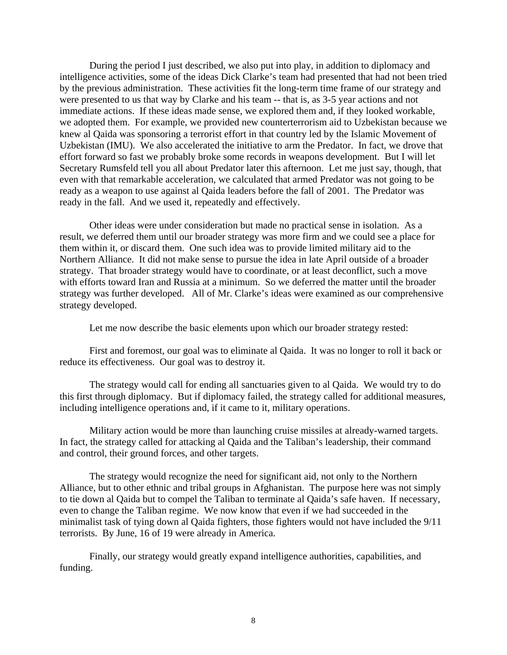During the period I just described, we also put into play, in addition to diplomacy and intelligence activities, some of the ideas Dick Clarke's team had presented that had not been tried by the previous administration. These activities fit the long-term time frame of our strategy and were presented to us that way by Clarke and his team -- that is, as 3-5 year actions and not immediate actions. If these ideas made sense, we explored them and, if they looked workable, we adopted them. For example, we provided new counterterrorism aid to Uzbekistan because we knew al Qaida was sponsoring a terrorist effort in that country led by the Islamic Movement of Uzbekistan (IMU). We also accelerated the initiative to arm the Predator. In fact, we drove that effort forward so fast we probably broke some records in weapons development. But I will let Secretary Rumsfeld tell you all about Predator later this afternoon. Let me just say, though, that even with that remarkable acceleration, we calculated that armed Predator was not going to be ready as a weapon to use against al Qaida leaders before the fall of 2001. The Predator was ready in the fall. And we used it, repeatedly and effectively.

Other ideas were under consideration but made no practical sense in isolation. As a result, we deferred them until our broader strategy was more firm and we could see a place for them within it, or discard them. One such idea was to provide limited military aid to the Northern Alliance. It did not make sense to pursue the idea in late April outside of a broader strategy. That broader strategy would have to coordinate, or at least deconflict, such a move with efforts toward Iran and Russia at a minimum. So we deferred the matter until the broader strategy was further developed. All of Mr. Clarke's ideas were examined as our comprehensive strategy developed.

Let me now describe the basic elements upon which our broader strategy rested:

First and foremost, our goal was to eliminate al Qaida. It was no longer to roll it back or reduce its effectiveness. Our goal was to destroy it.

The strategy would call for ending all sanctuaries given to al Qaida. We would try to do this first through diplomacy. But if diplomacy failed, the strategy called for additional measures, including intelligence operations and, if it came to it, military operations.

Military action would be more than launching cruise missiles at already-warned targets. In fact, the strategy called for attacking al Qaida and the Taliban's leadership, their command and control, their ground forces, and other targets.

The strategy would recognize the need for significant aid, not only to the Northern Alliance, but to other ethnic and tribal groups in Afghanistan. The purpose here was not simply to tie down al Qaida but to compel the Taliban to terminate al Qaida's safe haven. If necessary, even to change the Taliban regime. We now know that even if we had succeeded in the minimalist task of tying down al Qaida fighters, those fighters would not have included the 9/11 terrorists. By June, 16 of 19 were already in America.

Finally, our strategy would greatly expand intelligence authorities, capabilities, and funding.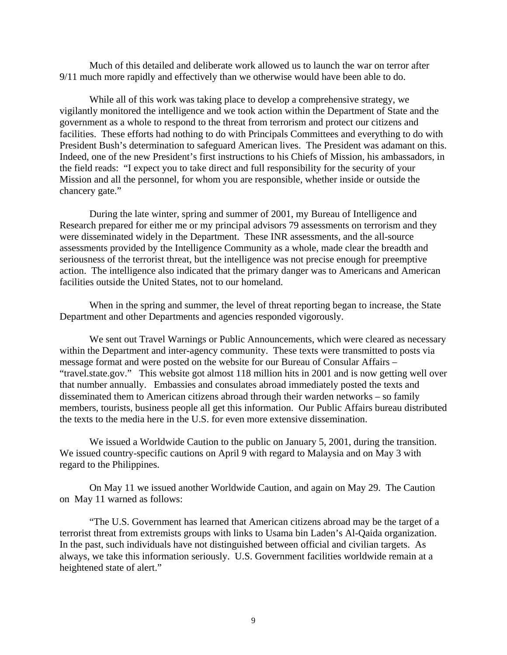Much of this detailed and deliberate work allowed us to launch the war on terror after 9/11 much more rapidly and effectively than we otherwise would have been able to do.

While all of this work was taking place to develop a comprehensive strategy, we vigilantly monitored the intelligence and we took action within the Department of State and the government as a whole to respond to the threat from terrorism and protect our citizens and facilities. These efforts had nothing to do with Principals Committees and everything to do with President Bush's determination to safeguard American lives. The President was adamant on this. Indeed, one of the new President's first instructions to his Chiefs of Mission, his ambassadors, in the field reads: "I expect you to take direct and full responsibility for the security of your Mission and all the personnel, for whom you are responsible, whether inside or outside the chancery gate."

During the late winter, spring and summer of 2001, my Bureau of Intelligence and Research prepared for either me or my principal advisors 79 assessments on terrorism and they were disseminated widely in the Department. These INR assessments, and the all-source assessments provided by the Intelligence Community as a whole, made clear the breadth and seriousness of the terrorist threat, but the intelligence was not precise enough for preemptive action. The intelligence also indicated that the primary danger was to Americans and American facilities outside the United States, not to our homeland.

 When in the spring and summer, the level of threat reporting began to increase, the State Department and other Departments and agencies responded vigorously.

We sent out Travel Warnings or Public Announcements, which were cleared as necessary within the Department and inter-agency community. These texts were transmitted to posts via message format and were posted on the website for our Bureau of Consular Affairs – "travel.state.gov." This website got almost 118 million hits in 2001 and is now getting well over that number annually. Embassies and consulates abroad immediately posted the texts and disseminated them to American citizens abroad through their warden networks – so family members, tourists, business people all get this information. Our Public Affairs bureau distributed the texts to the media here in the U.S. for even more extensive dissemination.

We issued a Worldwide Caution to the public on January 5, 2001, during the transition. We issued country-specific cautions on April 9 with regard to Malaysia and on May 3 with regard to the Philippines.

On May 11 we issued another Worldwide Caution, and again on May 29. The Caution on May 11 warned as follows:

"The U.S. Government has learned that American citizens abroad may be the target of a terrorist threat from extremists groups with links to Usama bin Laden's Al-Qaida organization. In the past, such individuals have not distinguished between official and civilian targets. As always, we take this information seriously. U.S. Government facilities worldwide remain at a heightened state of alert."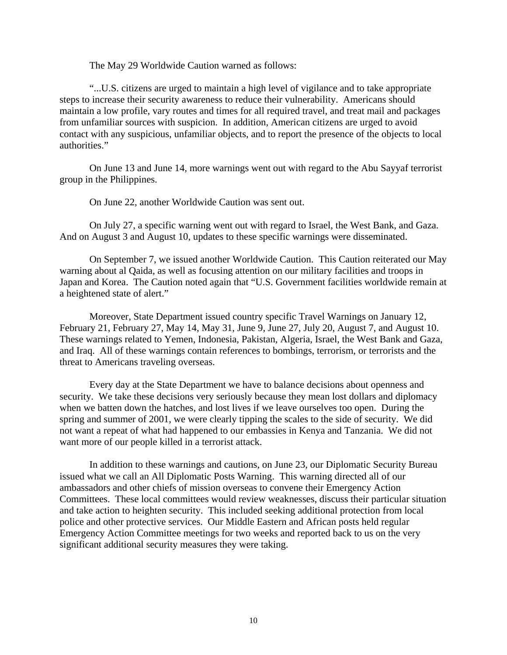The May 29 Worldwide Caution warned as follows:

"...U.S. citizens are urged to maintain a high level of vigilance and to take appropriate steps to increase their security awareness to reduce their vulnerability. Americans should maintain a low profile, vary routes and times for all required travel, and treat mail and packages from unfamiliar sources with suspicion. In addition, American citizens are urged to avoid contact with any suspicious, unfamiliar objects, and to report the presence of the objects to local authorities."

On June 13 and June 14, more warnings went out with regard to the Abu Sayyaf terrorist group in the Philippines.

On June 22, another Worldwide Caution was sent out.

On July 27, a specific warning went out with regard to Israel, the West Bank, and Gaza. And on August 3 and August 10, updates to these specific warnings were disseminated.

On September 7, we issued another Worldwide Caution. This Caution reiterated our May warning about al Qaida, as well as focusing attention on our military facilities and troops in Japan and Korea. The Caution noted again that "U.S. Government facilities worldwide remain at a heightened state of alert."

Moreover, State Department issued country specific Travel Warnings on January 12, February 21, February 27, May 14, May 31, June 9, June 27, July 20, August 7, and August 10. These warnings related to Yemen, Indonesia, Pakistan, Algeria, Israel, the West Bank and Gaza, and Iraq. All of these warnings contain references to bombings, terrorism, or terrorists and the threat to Americans traveling overseas.

Every day at the State Department we have to balance decisions about openness and security. We take these decisions very seriously because they mean lost dollars and diplomacy when we batten down the hatches, and lost lives if we leave ourselves too open. During the spring and summer of 2001, we were clearly tipping the scales to the side of security. We did not want a repeat of what had happened to our embassies in Kenya and Tanzania. We did not want more of our people killed in a terrorist attack.

In addition to these warnings and cautions, on June 23, our Diplomatic Security Bureau issued what we call an All Diplomatic Posts Warning. This warning directed all of our ambassadors and other chiefs of mission overseas to convene their Emergency Action Committees. These local committees would review weaknesses, discuss their particular situation and take action to heighten security. This included seeking additional protection from local police and other protective services. Our Middle Eastern and African posts held regular Emergency Action Committee meetings for two weeks and reported back to us on the very significant additional security measures they were taking.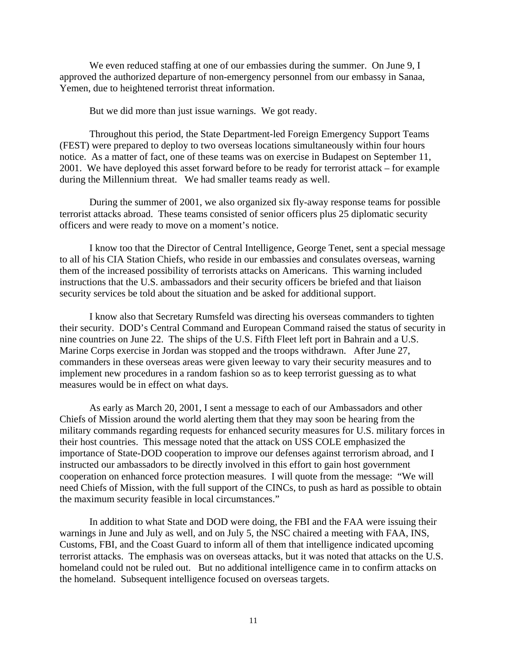We even reduced staffing at one of our embassies during the summer. On June 9, I approved the authorized departure of non-emergency personnel from our embassy in Sanaa, Yemen, due to heightened terrorist threat information.

But we did more than just issue warnings. We got ready.

Throughout this period, the State Department-led Foreign Emergency Support Teams (FEST) were prepared to deploy to two overseas locations simultaneously within four hours notice. As a matter of fact, one of these teams was on exercise in Budapest on September 11, 2001. We have deployed this asset forward before to be ready for terrorist attack – for example during the Millennium threat. We had smaller teams ready as well.

During the summer of 2001, we also organized six fly-away response teams for possible terrorist attacks abroad. These teams consisted of senior officers plus 25 diplomatic security officers and were ready to move on a moment's notice.

I know too that the Director of Central Intelligence, George Tenet, sent a special message to all of his CIA Station Chiefs, who reside in our embassies and consulates overseas, warning them of the increased possibility of terrorists attacks on Americans. This warning included instructions that the U.S. ambassadors and their security officers be briefed and that liaison security services be told about the situation and be asked for additional support.

I know also that Secretary Rumsfeld was directing his overseas commanders to tighten their security. DOD's Central Command and European Command raised the status of security in nine countries on June 22. The ships of the U.S. Fifth Fleet left port in Bahrain and a U.S. Marine Corps exercise in Jordan was stopped and the troops withdrawn. After June 27, commanders in these overseas areas were given leeway to vary their security measures and to implement new procedures in a random fashion so as to keep terrorist guessing as to what measures would be in effect on what days.

As early as March 20, 2001, I sent a message to each of our Ambassadors and other Chiefs of Mission around the world alerting them that they may soon be hearing from the military commands regarding requests for enhanced security measures for U.S. military forces in their host countries. This message noted that the attack on USS COLE emphasized the importance of State-DOD cooperation to improve our defenses against terrorism abroad, and I instructed our ambassadors to be directly involved in this effort to gain host government cooperation on enhanced force protection measures. I will quote from the message: "We will need Chiefs of Mission, with the full support of the CINCs, to push as hard as possible to obtain the maximum security feasible in local circumstances."

In addition to what State and DOD were doing, the FBI and the FAA were issuing their warnings in June and July as well, and on July 5, the NSC chaired a meeting with FAA, INS, Customs, FBI, and the Coast Guard to inform all of them that intelligence indicated upcoming terrorist attacks. The emphasis was on overseas attacks, but it was noted that attacks on the U.S. homeland could not be ruled out. But no additional intelligence came in to confirm attacks on the homeland. Subsequent intelligence focused on overseas targets.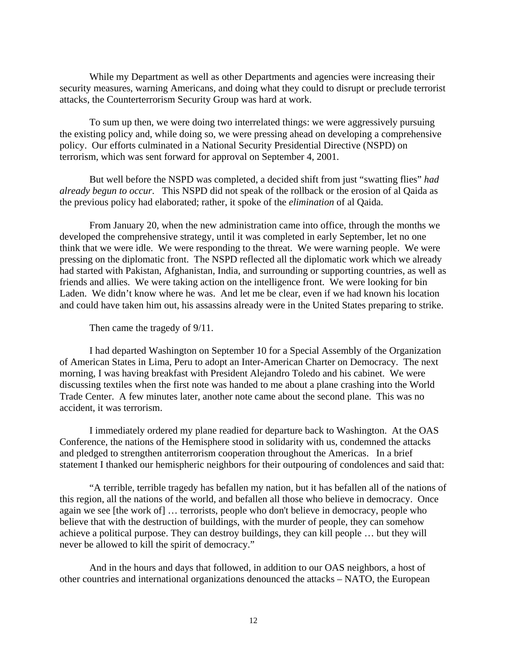While my Department as well as other Departments and agencies were increasing their security measures, warning Americans, and doing what they could to disrupt or preclude terrorist attacks, the Counterterrorism Security Group was hard at work.

To sum up then, we were doing two interrelated things: we were aggressively pursuing the existing policy and, while doing so, we were pressing ahead on developing a comprehensive policy. Our efforts culminated in a National Security Presidential Directive (NSPD) on terrorism, which was sent forward for approval on September 4, 2001.

But well before the NSPD was completed, a decided shift from just "swatting flies" *had already begun to occur*. This NSPD did not speak of the rollback or the erosion of al Qaida as the previous policy had elaborated; rather, it spoke of the *elimination* of al Qaida.

From January 20, when the new administration came into office, through the months we developed the comprehensive strategy, until it was completed in early September, let no one think that we were idle. We were responding to the threat. We were warning people. We were pressing on the diplomatic front. The NSPD reflected all the diplomatic work which we already had started with Pakistan, Afghanistan, India, and surrounding or supporting countries, as well as friends and allies. We were taking action on the intelligence front. We were looking for bin Laden. We didn't know where he was. And let me be clear, even if we had known his location and could have taken him out, his assassins already were in the United States preparing to strike.

Then came the tragedy of 9/11.

I had departed Washington on September 10 for a Special Assembly of the Organization of American States in Lima, Peru to adopt an Inter-American Charter on Democracy. The next morning, I was having breakfast with President Alejandro Toledo and his cabinet. We were discussing textiles when the first note was handed to me about a plane crashing into the World Trade Center. A few minutes later, another note came about the second plane. This was no accident, it was terrorism.

I immediately ordered my plane readied for departure back to Washington. At the OAS Conference, the nations of the Hemisphere stood in solidarity with us, condemned the attacks and pledged to strengthen antiterrorism cooperation throughout the Americas. In a brief statement I thanked our hemispheric neighbors for their outpouring of condolences and said that:

"A terrible, terrible tragedy has befallen my nation, but it has befallen all of the nations of this region, all the nations of the world, and befallen all those who believe in democracy. Once again we see [the work of] … terrorists, people who don't believe in democracy, people who believe that with the destruction of buildings, with the murder of people, they can somehow achieve a political purpose. They can destroy buildings, they can kill people … but they will never be allowed to kill the spirit of democracy."

And in the hours and days that followed, in addition to our OAS neighbors, a host of other countries and international organizations denounced the attacks – NATO, the European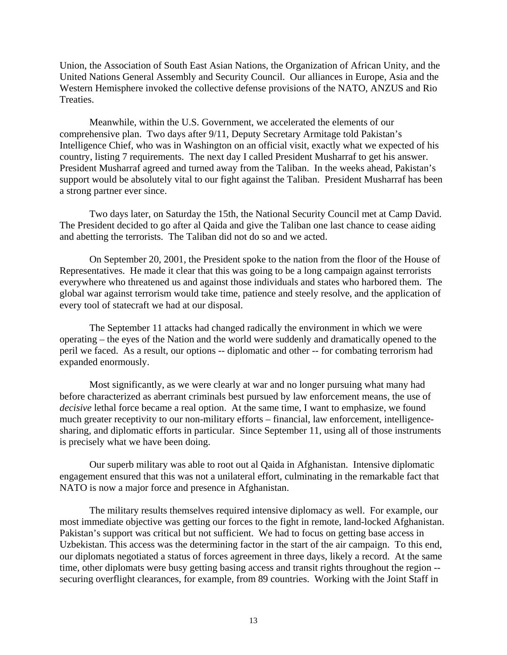Union, the Association of South East Asian Nations, the Organization of African Unity, and the United Nations General Assembly and Security Council. Our alliances in Europe, Asia and the Western Hemisphere invoked the collective defense provisions of the NATO, ANZUS and Rio Treaties.

Meanwhile, within the U.S. Government, we accelerated the elements of our comprehensive plan. Two days after 9/11, Deputy Secretary Armitage told Pakistan's Intelligence Chief, who was in Washington on an official visit, exactly what we expected of his country, listing 7 requirements. The next day I called President Musharraf to get his answer. President Musharraf agreed and turned away from the Taliban. In the weeks ahead, Pakistan's support would be absolutely vital to our fight against the Taliban. President Musharraf has been a strong partner ever since.

Two days later, on Saturday the 15th, the National Security Council met at Camp David. The President decided to go after al Qaida and give the Taliban one last chance to cease aiding and abetting the terrorists. The Taliban did not do so and we acted.

On September 20, 2001, the President spoke to the nation from the floor of the House of Representatives. He made it clear that this was going to be a long campaign against terrorists everywhere who threatened us and against those individuals and states who harbored them. The global war against terrorism would take time, patience and steely resolve, and the application of every tool of statecraft we had at our disposal.

The September 11 attacks had changed radically the environment in which we were operating – the eyes of the Nation and the world were suddenly and dramatically opened to the peril we faced. As a result, our options -- diplomatic and other -- for combating terrorism had expanded enormously.

Most significantly, as we were clearly at war and no longer pursuing what many had before characterized as aberrant criminals best pursued by law enforcement means, the use of *decisive* lethal force became a real option. At the same time, I want to emphasize, we found much greater receptivity to our non-military efforts – financial, law enforcement, intelligencesharing, and diplomatic efforts in particular. Since September 11, using all of those instruments is precisely what we have been doing.

Our superb military was able to root out al Qaida in Afghanistan. Intensive diplomatic engagement ensured that this was not a unilateral effort, culminating in the remarkable fact that NATO is now a major force and presence in Afghanistan.

The military results themselves required intensive diplomacy as well. For example, our most immediate objective was getting our forces to the fight in remote, land-locked Afghanistan. Pakistan's support was critical but not sufficient. We had to focus on getting base access in Uzbekistan. This access was the determining factor in the start of the air campaign. To this end, our diplomats negotiated a status of forces agreement in three days, likely a record. At the same time, other diplomats were busy getting basing access and transit rights throughout the region - securing overflight clearances, for example, from 89 countries. Working with the Joint Staff in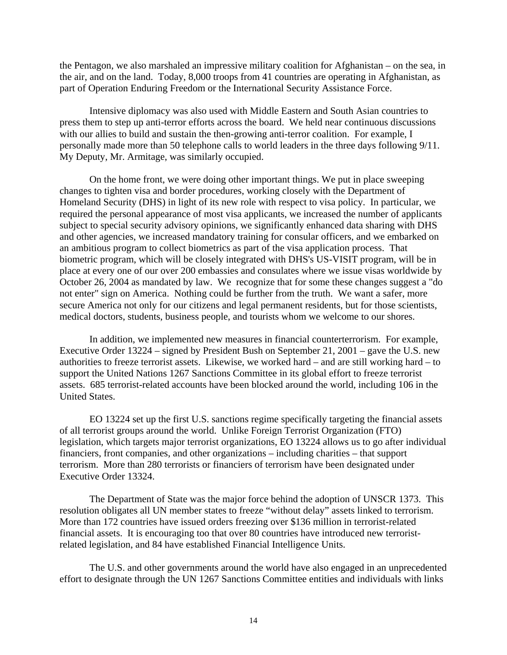the Pentagon, we also marshaled an impressive military coalition for Afghanistan – on the sea, in the air, and on the land. Today, 8,000 troops from 41 countries are operating in Afghanistan, as part of Operation Enduring Freedom or the International Security Assistance Force.

Intensive diplomacy was also used with Middle Eastern and South Asian countries to press them to step up anti-terror efforts across the board. We held near continuous discussions with our allies to build and sustain the then-growing anti-terror coalition. For example, I personally made more than 50 telephone calls to world leaders in the three days following 9/11. My Deputy, Mr. Armitage, was similarly occupied.

On the home front, we were doing other important things. We put in place sweeping changes to tighten visa and border procedures, working closely with the Department of Homeland Security (DHS) in light of its new role with respect to visa policy. In particular, we required the personal appearance of most visa applicants, we increased the number of applicants subject to special security advisory opinions, we significantly enhanced data sharing with DHS and other agencies, we increased mandatory training for consular officers, and we embarked on an ambitious program to collect biometrics as part of the visa application process. That biometric program, which will be closely integrated with DHS's US-VISIT program, will be in place at every one of our over 200 embassies and consulates where we issue visas worldwide by October 26, 2004 as mandated by law. We recognize that for some these changes suggest a "do not enter" sign on America. Nothing could be further from the truth. We want a safer, more secure America not only for our citizens and legal permanent residents, but for those scientists, medical doctors, students, business people, and tourists whom we welcome to our shores.

In addition, we implemented new measures in financial counterterrorism. For example, Executive Order 13224 – signed by President Bush on September 21, 2001 – gave the U.S. new authorities to freeze terrorist assets. Likewise, we worked hard – and are still working hard – to support the United Nations 1267 Sanctions Committee in its global effort to freeze terrorist assets. 685 terrorist-related accounts have been blocked around the world, including 106 in the United States.

EO 13224 set up the first U.S. sanctions regime specifically targeting the financial assets of all terrorist groups around the world. Unlike Foreign Terrorist Organization (FTO) legislation, which targets major terrorist organizations, EO 13224 allows us to go after individual financiers, front companies, and other organizations – including charities – that support terrorism. More than 280 terrorists or financiers of terrorism have been designated under Executive Order 13324.

The Department of State was the major force behind the adoption of UNSCR 1373. This resolution obligates all UN member states to freeze "without delay" assets linked to terrorism. More than 172 countries have issued orders freezing over \$136 million in terrorist-related financial assets. It is encouraging too that over 80 countries have introduced new terroristrelated legislation, and 84 have established Financial Intelligence Units.

The U.S. and other governments around the world have also engaged in an unprecedented effort to designate through the UN 1267 Sanctions Committee entities and individuals with links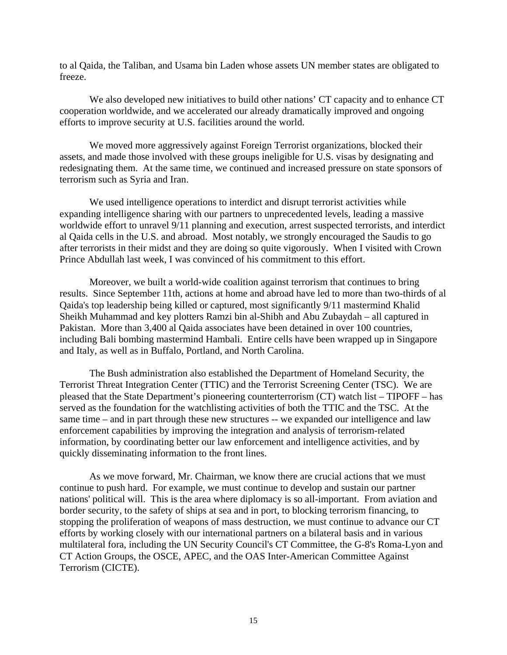to al Qaida, the Taliban, and Usama bin Laden whose assets UN member states are obligated to freeze.

We also developed new initiatives to build other nations' CT capacity and to enhance CT cooperation worldwide, and we accelerated our already dramatically improved and ongoing efforts to improve security at U.S. facilities around the world.

We moved more aggressively against Foreign Terrorist organizations, blocked their assets, and made those involved with these groups ineligible for U.S. visas by designating and redesignating them. At the same time, we continued and increased pressure on state sponsors of terrorism such as Syria and Iran.

We used intelligence operations to interdict and disrupt terrorist activities while expanding intelligence sharing with our partners to unprecedented levels, leading a massive worldwide effort to unravel 9/11 planning and execution, arrest suspected terrorists, and interdict al Qaida cells in the U.S. and abroad. Most notably, we strongly encouraged the Saudis to go after terrorists in their midst and they are doing so quite vigorously. When I visited with Crown Prince Abdullah last week, I was convinced of his commitment to this effort.

Moreover, we built a world-wide coalition against terrorism that continues to bring results. Since September 11th, actions at home and abroad have led to more than two-thirds of al Qaida's top leadership being killed or captured, most significantly 9/11 mastermind Khalid Sheikh Muhammad and key plotters Ramzi bin al-Shibh and Abu Zubaydah – all captured in Pakistan. More than 3,400 al Qaida associates have been detained in over 100 countries, including Bali bombing mastermind Hambali. Entire cells have been wrapped up in Singapore and Italy, as well as in Buffalo, Portland, and North Carolina.

The Bush administration also established the Department of Homeland Security, the Terrorist Threat Integration Center (TTIC) and the Terrorist Screening Center (TSC). We are pleased that the State Department's pioneering counterterrorism (CT) watch list – TIPOFF – has served as the foundation for the watchlisting activities of both the TTIC and the TSC. At the same time – and in part through these new structures -- we expanded our intelligence and law enforcement capabilities by improving the integration and analysis of terrorism-related information, by coordinating better our law enforcement and intelligence activities, and by quickly disseminating information to the front lines.

As we move forward, Mr. Chairman, we know there are crucial actions that we must continue to push hard. For example, we must continue to develop and sustain our partner nations' political will. This is the area where diplomacy is so all-important. From aviation and border security, to the safety of ships at sea and in port, to blocking terrorism financing, to stopping the proliferation of weapons of mass destruction, we must continue to advance our CT efforts by working closely with our international partners on a bilateral basis and in various multilateral fora, including the UN Security Council's CT Committee, the G-8's Roma-Lyon and CT Action Groups, the OSCE, APEC, and the OAS Inter-American Committee Against Terrorism (CICTE).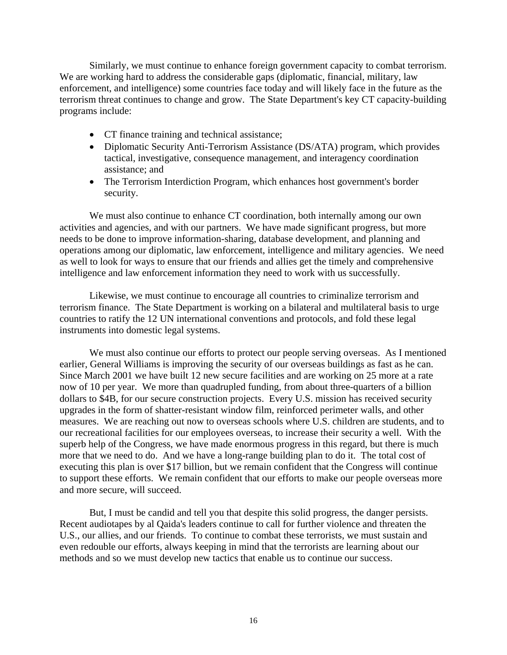Similarly, we must continue to enhance foreign government capacity to combat terrorism. We are working hard to address the considerable gaps (diplomatic, financial, military, law enforcement, and intelligence) some countries face today and will likely face in the future as the terrorism threat continues to change and grow. The State Department's key CT capacity-building programs include:

- CT finance training and technical assistance;
- Diplomatic Security Anti-Terrorism Assistance (DS/ATA) program, which provides tactical, investigative, consequence management, and interagency coordination assistance; and
- The Terrorism Interdiction Program, which enhances host government's border security.

We must also continue to enhance CT coordination, both internally among our own activities and agencies, and with our partners. We have made significant progress, but more needs to be done to improve information-sharing, database development, and planning and operations among our diplomatic, law enforcement, intelligence and military agencies. We need as well to look for ways to ensure that our friends and allies get the timely and comprehensive intelligence and law enforcement information they need to work with us successfully.

Likewise, we must continue to encourage all countries to criminalize terrorism and terrorism finance. The State Department is working on a bilateral and multilateral basis to urge countries to ratify the 12 UN international conventions and protocols, and fold these legal instruments into domestic legal systems.

We must also continue our efforts to protect our people serving overseas. As I mentioned earlier, General Williams is improving the security of our overseas buildings as fast as he can. Since March 2001 we have built 12 new secure facilities and are working on 25 more at a rate now of 10 per year. We more than quadrupled funding, from about three-quarters of a billion dollars to \$4B, for our secure construction projects. Every U.S. mission has received security upgrades in the form of shatter-resistant window film, reinforced perimeter walls, and other measures. We are reaching out now to overseas schools where U.S. children are students, and to our recreational facilities for our employees overseas, to increase their security a well. With the superb help of the Congress, we have made enormous progress in this regard, but there is much more that we need to do. And we have a long-range building plan to do it. The total cost of executing this plan is over \$17 billion, but we remain confident that the Congress will continue to support these efforts. We remain confident that our efforts to make our people overseas more and more secure, will succeed.

But, I must be candid and tell you that despite this solid progress, the danger persists. Recent audiotapes by al Qaida's leaders continue to call for further violence and threaten the U.S., our allies, and our friends. To continue to combat these terrorists, we must sustain and even redouble our efforts, always keeping in mind that the terrorists are learning about our methods and so we must develop new tactics that enable us to continue our success.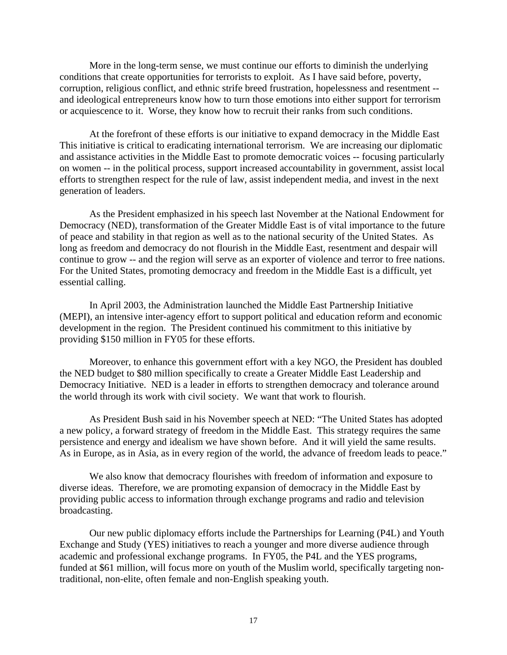More in the long-term sense, we must continue our efforts to diminish the underlying conditions that create opportunities for terrorists to exploit. As I have said before, poverty, corruption, religious conflict, and ethnic strife breed frustration, hopelessness and resentment - and ideological entrepreneurs know how to turn those emotions into either support for terrorism or acquiescence to it. Worse, they know how to recruit their ranks from such conditions.

At the forefront of these efforts is our initiative to expand democracy in the Middle East This initiative is critical to eradicating international terrorism. We are increasing our diplomatic and assistance activities in the Middle East to promote democratic voices -- focusing particularly on women -- in the political process, support increased accountability in government, assist local efforts to strengthen respect for the rule of law, assist independent media, and invest in the next generation of leaders.

As the President emphasized in his speech last November at the National Endowment for Democracy (NED), transformation of the Greater Middle East is of vital importance to the future of peace and stability in that region as well as to the national security of the United States. As long as freedom and democracy do not flourish in the Middle East, resentment and despair will continue to grow -- and the region will serve as an exporter of violence and terror to free nations. For the United States, promoting democracy and freedom in the Middle East is a difficult, yet essential calling.

In April 2003, the Administration launched the Middle East Partnership Initiative (MEPI), an intensive inter-agency effort to support political and education reform and economic development in the region. The President continued his commitment to this initiative by providing \$150 million in FY05 for these efforts.

Moreover, to enhance this government effort with a key NGO, the President has doubled the NED budget to \$80 million specifically to create a Greater Middle East Leadership and Democracy Initiative. NED is a leader in efforts to strengthen democracy and tolerance around the world through its work with civil society. We want that work to flourish.

As President Bush said in his November speech at NED: "The United States has adopted a new policy, a forward strategy of freedom in the Middle East. This strategy requires the same persistence and energy and idealism we have shown before. And it will yield the same results. As in Europe, as in Asia, as in every region of the world, the advance of freedom leads to peace."

We also know that democracy flourishes with freedom of information and exposure to diverse ideas. Therefore, we are promoting expansion of democracy in the Middle East by providing public access to information through exchange programs and radio and television broadcasting.

Our new public diplomacy efforts include the Partnerships for Learning (P4L) and Youth Exchange and Study (YES) initiatives to reach a younger and more diverse audience through academic and professional exchange programs. In FY05, the P4L and the YES programs, funded at \$61 million, will focus more on youth of the Muslim world, specifically targeting nontraditional, non-elite, often female and non-English speaking youth.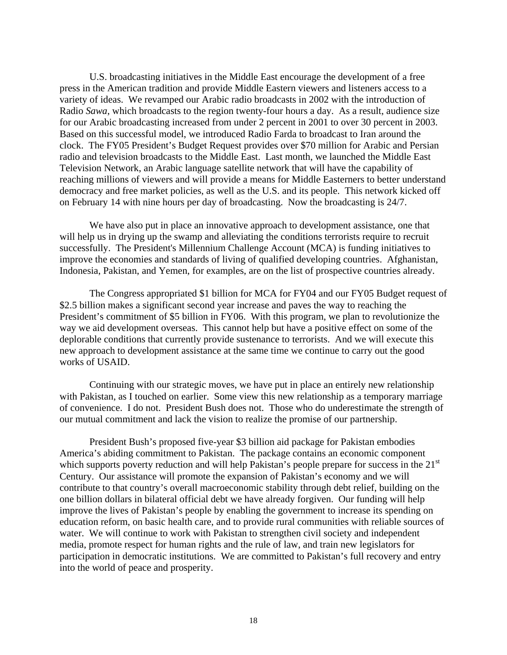U.S. broadcasting initiatives in the Middle East encourage the development of a free press in the American tradition and provide Middle Eastern viewers and listeners access to a variety of ideas. We revamped our Arabic radio broadcasts in 2002 with the introduction of Radio *Sawa*, which broadcasts to the region twenty-four hours a day. As a result, audience size for our Arabic broadcasting increased from under 2 percent in 2001 to over 30 percent in 2003. Based on this successful model, we introduced Radio Farda to broadcast to Iran around the clock. The FY05 President's Budget Request provides over \$70 million for Arabic and Persian radio and television broadcasts to the Middle East. Last month, we launched the Middle East Television Network, an Arabic language satellite network that will have the capability of reaching millions of viewers and will provide a means for Middle Easterners to better understand democracy and free market policies, as well as the U.S. and its people. This network kicked off on February 14 with nine hours per day of broadcasting. Now the broadcasting is 24/7.

We have also put in place an innovative approach to development assistance, one that will help us in drying up the swamp and alleviating the conditions terrorists require to recruit successfully. The President's Millennium Challenge Account (MCA) is funding initiatives to improve the economies and standards of living of qualified developing countries. Afghanistan, Indonesia, Pakistan, and Yemen, for examples, are on the list of prospective countries already.

The Congress appropriated \$1 billion for MCA for FY04 and our FY05 Budget request of \$2.5 billion makes a significant second year increase and paves the way to reaching the President's commitment of \$5 billion in FY06. With this program, we plan to revolutionize the way we aid development overseas. This cannot help but have a positive effect on some of the deplorable conditions that currently provide sustenance to terrorists. And we will execute this new approach to development assistance at the same time we continue to carry out the good works of USAID.

Continuing with our strategic moves, we have put in place an entirely new relationship with Pakistan, as I touched on earlier. Some view this new relationship as a temporary marriage of convenience. I do not. President Bush does not. Those who do underestimate the strength of our mutual commitment and lack the vision to realize the promise of our partnership.

President Bush's proposed five-year \$3 billion aid package for Pakistan embodies America's abiding commitment to Pakistan. The package contains an economic component which supports poverty reduction and will help Pakistan's people prepare for success in the 21<sup>st</sup> Century. Our assistance will promote the expansion of Pakistan's economy and we will contribute to that country's overall macroeconomic stability through debt relief, building on the one billion dollars in bilateral official debt we have already forgiven. Our funding will help improve the lives of Pakistan's people by enabling the government to increase its spending on education reform, on basic health care, and to provide rural communities with reliable sources of water. We will continue to work with Pakistan to strengthen civil society and independent media, promote respect for human rights and the rule of law, and train new legislators for participation in democratic institutions. We are committed to Pakistan's full recovery and entry into the world of peace and prosperity.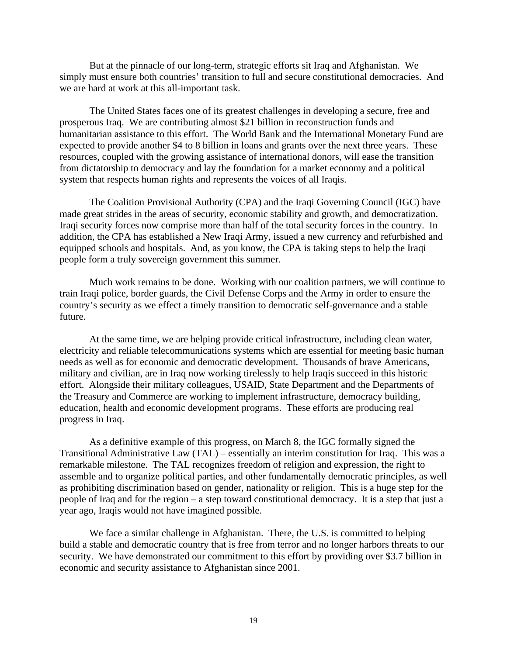But at the pinnacle of our long-term, strategic efforts sit Iraq and Afghanistan. We simply must ensure both countries' transition to full and secure constitutional democracies. And we are hard at work at this all-important task.

The United States faces one of its greatest challenges in developing a secure, free and prosperous Iraq. We are contributing almost \$21 billion in reconstruction funds and humanitarian assistance to this effort. The World Bank and the International Monetary Fund are expected to provide another \$4 to 8 billion in loans and grants over the next three years. These resources, coupled with the growing assistance of international donors, will ease the transition from dictatorship to democracy and lay the foundation for a market economy and a political system that respects human rights and represents the voices of all Iraqis.

 The Coalition Provisional Authority (CPA) and the Iraqi Governing Council (IGC) have made great strides in the areas of security, economic stability and growth, and democratization. Iraqi security forces now comprise more than half of the total security forces in the country. In addition, the CPA has established a New Iraqi Army, issued a new currency and refurbished and equipped schools and hospitals. And, as you know, the CPA is taking steps to help the Iraqi people form a truly sovereign government this summer.

 Much work remains to be done. Working with our coalition partners, we will continue to train Iraqi police, border guards, the Civil Defense Corps and the Army in order to ensure the country's security as we effect a timely transition to democratic self-governance and a stable future.

 At the same time, we are helping provide critical infrastructure, including clean water, electricity and reliable telecommunications systems which are essential for meeting basic human needs as well as for economic and democratic development. Thousands of brave Americans, military and civilian, are in Iraq now working tirelessly to help Iraqis succeed in this historic effort. Alongside their military colleagues, USAID, State Department and the Departments of the Treasury and Commerce are working to implement infrastructure, democracy building, education, health and economic development programs. These efforts are producing real progress in Iraq.

As a definitive example of this progress, on March 8, the IGC formally signed the Transitional Administrative Law (TAL) – essentially an interim constitution for Iraq. This was a remarkable milestone. The TAL recognizes freedom of religion and expression, the right to assemble and to organize political parties, and other fundamentally democratic principles, as well as prohibiting discrimination based on gender, nationality or religion. This is a huge step for the people of Iraq and for the region – a step toward constitutional democracy. It is a step that just a year ago, Iraqis would not have imagined possible.

 We face a similar challenge in Afghanistan. There, the U.S. is committed to helping build a stable and democratic country that is free from terror and no longer harbors threats to our security. We have demonstrated our commitment to this effort by providing over \$3.7 billion in economic and security assistance to Afghanistan since 2001.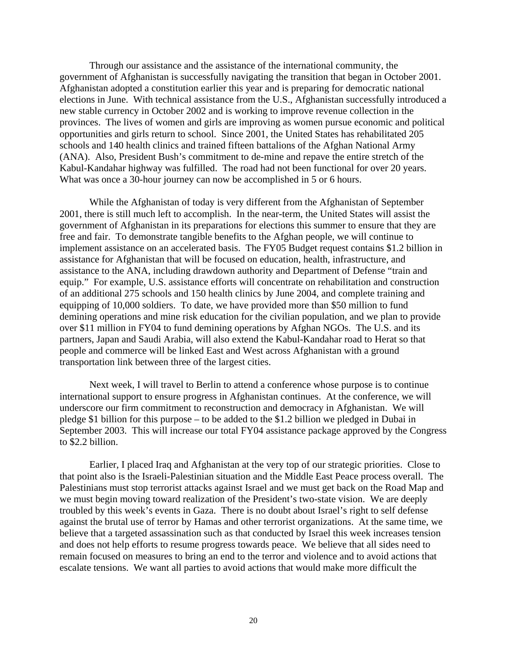Through our assistance and the assistance of the international community, the government of Afghanistan is successfully navigating the transition that began in October 2001. Afghanistan adopted a constitution earlier this year and is preparing for democratic national elections in June. With technical assistance from the U.S., Afghanistan successfully introduced a new stable currency in October 2002 and is working to improve revenue collection in the provinces. The lives of women and girls are improving as women pursue economic and political opportunities and girls return to school. Since 2001, the United States has rehabilitated 205 schools and 140 health clinics and trained fifteen battalions of the Afghan National Army (ANA). Also, President Bush's commitment to de-mine and repave the entire stretch of the Kabul-Kandahar highway was fulfilled. The road had not been functional for over 20 years. What was once a 30-hour journey can now be accomplished in 5 or 6 hours.

While the Afghanistan of today is very different from the Afghanistan of September 2001, there is still much left to accomplish. In the near-term, the United States will assist the government of Afghanistan in its preparations for elections this summer to ensure that they are free and fair. To demonstrate tangible benefits to the Afghan people, we will continue to implement assistance on an accelerated basis. The FY05 Budget request contains \$1.2 billion in assistance for Afghanistan that will be focused on education, health, infrastructure, and assistance to the ANA, including drawdown authority and Department of Defense "train and equip." For example, U.S. assistance efforts will concentrate on rehabilitation and construction of an additional 275 schools and 150 health clinics by June 2004, and complete training and equipping of 10,000 soldiers. To date, we have provided more than \$50 million to fund demining operations and mine risk education for the civilian population, and we plan to provide over \$11 million in FY04 to fund demining operations by Afghan NGOs. The U.S. and its partners, Japan and Saudi Arabia, will also extend the Kabul-Kandahar road to Herat so that people and commerce will be linked East and West across Afghanistan with a ground transportation link between three of the largest cities.

Next week, I will travel to Berlin to attend a conference whose purpose is to continue international support to ensure progress in Afghanistan continues. At the conference, we will underscore our firm commitment to reconstruction and democracy in Afghanistan. We will pledge \$1 billion for this purpose – to be added to the \$1.2 billion we pledged in Dubai in September 2003. This will increase our total FY04 assistance package approved by the Congress to \$2.2 billion.

Earlier, I placed Iraq and Afghanistan at the very top of our strategic priorities. Close to that point also is the Israeli-Palestinian situation and the Middle East Peace process overall. The Palestinians must stop terrorist attacks against Israel and we must get back on the Road Map and we must begin moving toward realization of the President's two-state vision. We are deeply troubled by this week's events in Gaza. There is no doubt about Israel's right to self defense against the brutal use of terror by Hamas and other terrorist organizations. At the same time, we believe that a targeted assassination such as that conducted by Israel this week increases tension and does not help efforts to resume progress towards peace. We believe that all sides need to remain focused on measures to bring an end to the terror and violence and to avoid actions that escalate tensions. We want all parties to avoid actions that would make more difficult the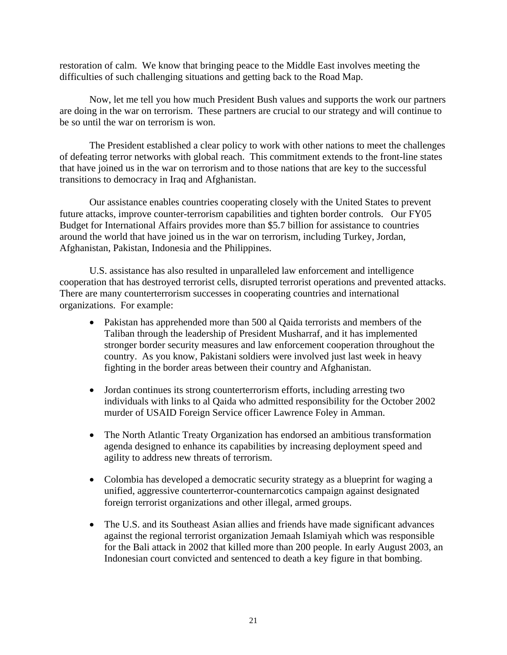restoration of calm. We know that bringing peace to the Middle East involves meeting the difficulties of such challenging situations and getting back to the Road Map.

Now, let me tell you how much President Bush values and supports the work our partners are doing in the war on terrorism. These partners are crucial to our strategy and will continue to be so until the war on terrorism is won.

The President established a clear policy to work with other nations to meet the challenges of defeating terror networks with global reach. This commitment extends to the front-line states that have joined us in the war on terrorism and to those nations that are key to the successful transitions to democracy in Iraq and Afghanistan.

Our assistance enables countries cooperating closely with the United States to prevent future attacks, improve counter-terrorism capabilities and tighten border controls. Our FY05 Budget for International Affairs provides more than \$5.7 billion for assistance to countries around the world that have joined us in the war on terrorism, including Turkey, Jordan, Afghanistan, Pakistan, Indonesia and the Philippines.

U.S. assistance has also resulted in unparalleled law enforcement and intelligence cooperation that has destroyed terrorist cells, disrupted terrorist operations and prevented attacks. There are many counterterrorism successes in cooperating countries and international organizations. For example:

- Pakistan has apprehended more than 500 al Qaida terrorists and members of the Taliban through the leadership of President Musharraf, and it has implemented stronger border security measures and law enforcement cooperation throughout the country. As you know, Pakistani soldiers were involved just last week in heavy fighting in the border areas between their country and Afghanistan.
- Jordan continues its strong counterterrorism efforts, including arresting two individuals with links to al Qaida who admitted responsibility for the October 2002 murder of USAID Foreign Service officer Lawrence Foley in Amman.
- The North Atlantic Treaty Organization has endorsed an ambitious transformation agenda designed to enhance its capabilities by increasing deployment speed and agility to address new threats of terrorism.
- Colombia has developed a democratic security strategy as a blueprint for waging a unified, aggressive counterterror-counternarcotics campaign against designated foreign terrorist organizations and other illegal, armed groups.
- The U.S. and its Southeast Asian allies and friends have made significant advances against the regional terrorist organization Jemaah Islamiyah which was responsible for the Bali attack in 2002 that killed more than 200 people. In early August 2003, an Indonesian court convicted and sentenced to death a key figure in that bombing.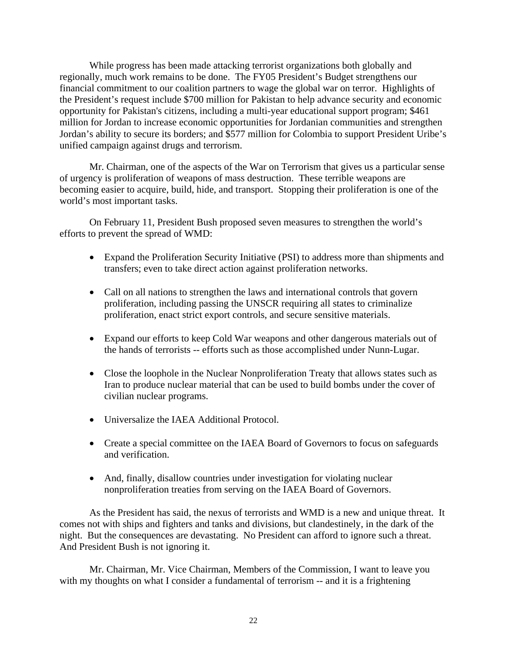While progress has been made attacking terrorist organizations both globally and regionally, much work remains to be done. The FY05 President's Budget strengthens our financial commitment to our coalition partners to wage the global war on terror. Highlights of the President's request include \$700 million for Pakistan to help advance security and economic opportunity for Pakistan's citizens, including a multi-year educational support program; \$461 million for Jordan to increase economic opportunities for Jordanian communities and strengthen Jordan's ability to secure its borders; and \$577 million for Colombia to support President Uribe's unified campaign against drugs and terrorism.

Mr. Chairman, one of the aspects of the War on Terrorism that gives us a particular sense of urgency is proliferation of weapons of mass destruction. These terrible weapons are becoming easier to acquire, build, hide, and transport. Stopping their proliferation is one of the world's most important tasks.

On February 11, President Bush proposed seven measures to strengthen the world's efforts to prevent the spread of WMD:

- Expand the Proliferation Security Initiative (PSI) to address more than shipments and transfers; even to take direct action against proliferation networks.
- Call on all nations to strengthen the laws and international controls that govern proliferation, including passing the UNSCR requiring all states to criminalize proliferation, enact strict export controls, and secure sensitive materials.
- Expand our efforts to keep Cold War weapons and other dangerous materials out of the hands of terrorists -- efforts such as those accomplished under Nunn-Lugar.
- Close the loophole in the Nuclear Nonproliferation Treaty that allows states such as Iran to produce nuclear material that can be used to build bombs under the cover of civilian nuclear programs.
- Universalize the IAEA Additional Protocol.
- Create a special committee on the IAEA Board of Governors to focus on safeguards and verification.
- And, finally, disallow countries under investigation for violating nuclear nonproliferation treaties from serving on the IAEA Board of Governors.

As the President has said, the nexus of terrorists and WMD is a new and unique threat. It comes not with ships and fighters and tanks and divisions, but clandestinely, in the dark of the night. But the consequences are devastating. No President can afford to ignore such a threat. And President Bush is not ignoring it.

Mr. Chairman, Mr. Vice Chairman, Members of the Commission, I want to leave you with my thoughts on what I consider a fundamental of terrorism -- and it is a frightening